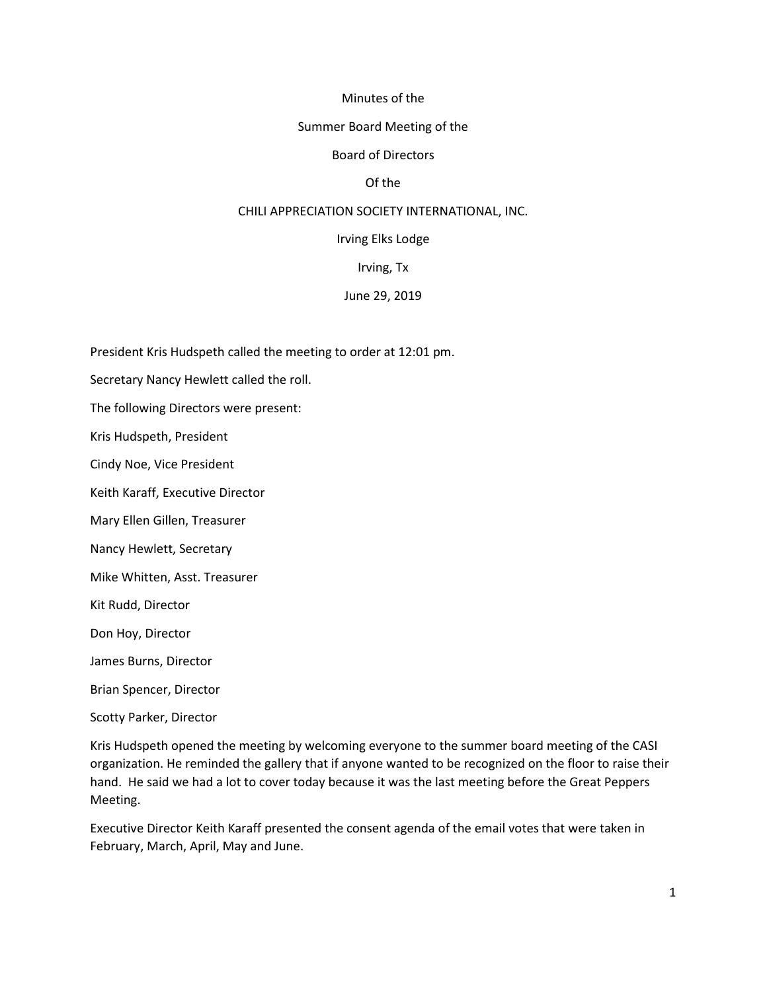#### Minutes of the

#### Summer Board Meeting of the

#### Board of Directors

## Of the

#### CHILI APPRECIATION SOCIETY INTERNATIONAL, INC.

#### Irving Elks Lodge

#### Irving, Tx

#### June 29, 2019

President Kris Hudspeth called the meeting to order at 12:01 pm.

Secretary Nancy Hewlett called the roll.

The following Directors were present:

Kris Hudspeth, President

Cindy Noe, Vice President

Keith Karaff, Executive Director

Mary Ellen Gillen, Treasurer

Nancy Hewlett, Secretary

Mike Whitten, Asst. Treasurer

Kit Rudd, Director

Don Hoy, Director

James Burns, Director

Brian Spencer, Director

Scotty Parker, Director

Kris Hudspeth opened the meeting by welcoming everyone to the summer board meeting of the CASI organization. He reminded the gallery that if anyone wanted to be recognized on the floor to raise their hand. He said we had a lot to cover today because it was the last meeting before the Great Peppers Meeting.

Executive Director Keith Karaff presented the consent agenda of the email votes that were taken in February, March, April, May and June.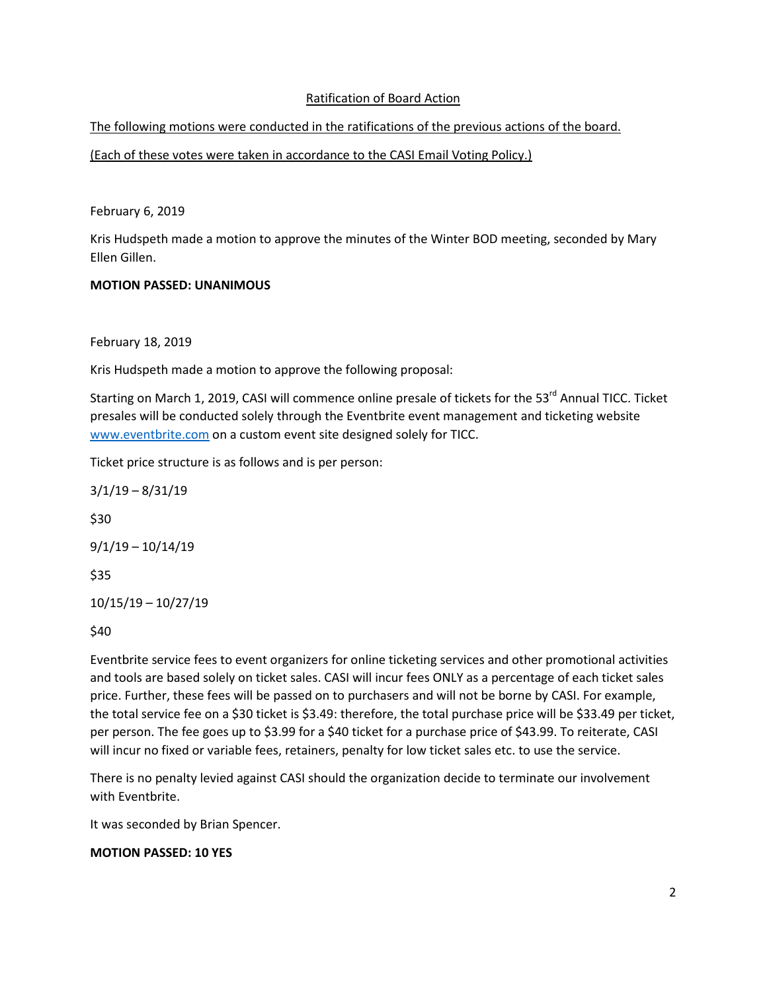## Ratification of Board Action

The following motions were conducted in the ratifications of the previous actions of the board.

(Each of these votes were taken in accordance to the CASI Email Voting Policy.)

February 6, 2019

Kris Hudspeth made a motion to approve the minutes of the Winter BOD meeting, seconded by Mary Ellen Gillen.

# MOTION PASSED: UNANIMOUS

February 18, 2019

Kris Hudspeth made a motion to approve the following proposal:

Starting on March 1, 2019, CASI will commence online presale of tickets for the 53<sup>rd</sup> Annual TICC. Ticket presales will be conducted solely through the Eventbrite event management and ticketing website www.eventbrite.com on a custom event site designed solely for TICC.

Ticket price structure is as follows and is per person:

3/1/19 – 8/31/19 \$30 9/1/19 – 10/14/19 \$35 10/15/19 – 10/27/19

\$40

Eventbrite service fees to event organizers for online ticketing services and other promotional activities and tools are based solely on ticket sales. CASI will incur fees ONLY as a percentage of each ticket sales price. Further, these fees will be passed on to purchasers and will not be borne by CASI. For example, the total service fee on a \$30 ticket is \$3.49: therefore, the total purchase price will be \$33.49 per ticket, per person. The fee goes up to \$3.99 for a \$40 ticket for a purchase price of \$43.99. To reiterate, CASI will incur no fixed or variable fees, retainers, penalty for low ticket sales etc. to use the service.

There is no penalty levied against CASI should the organization decide to terminate our involvement with Eventbrite.

It was seconded by Brian Spencer.

## MOTION PASSED: 10 YES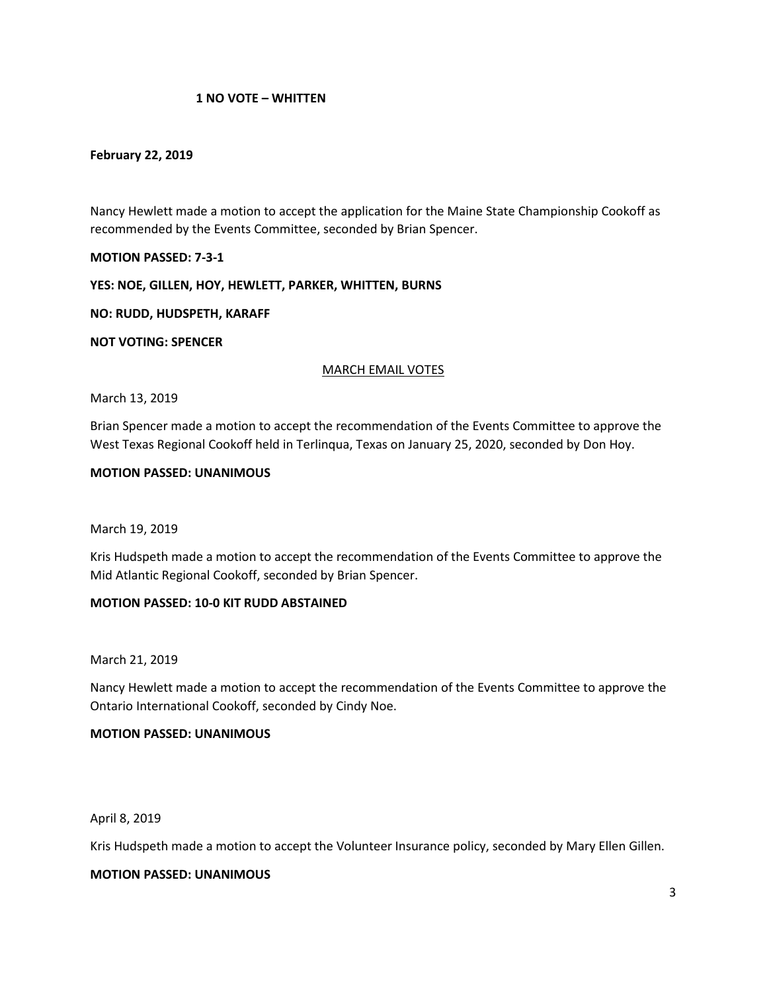## 1 NO VOTE – WHITTEN

#### February 22, 2019

Nancy Hewlett made a motion to accept the application for the Maine State Championship Cookoff as recommended by the Events Committee, seconded by Brian Spencer.

MOTION PASSED: 7-3-1

#### YES: NOE, GILLEN, HOY, HEWLETT, PARKER, WHITTEN, BURNS

NO: RUDD, HUDSPETH, KARAFF

NOT VOTING: SPENCER

#### MARCH EMAIL VOTES

#### March 13, 2019

Brian Spencer made a motion to accept the recommendation of the Events Committee to approve the West Texas Regional Cookoff held in Terlinqua, Texas on January 25, 2020, seconded by Don Hoy.

#### MOTION PASSED: UNANIMOUS

#### March 19, 2019

Kris Hudspeth made a motion to accept the recommendation of the Events Committee to approve the Mid Atlantic Regional Cookoff, seconded by Brian Spencer.

#### MOTION PASSED: 10-0 KIT RUDD ABSTAINED

March 21, 2019

Nancy Hewlett made a motion to accept the recommendation of the Events Committee to approve the Ontario International Cookoff, seconded by Cindy Noe.

#### MOTION PASSED: UNANIMOUS

April 8, 2019

Kris Hudspeth made a motion to accept the Volunteer Insurance policy, seconded by Mary Ellen Gillen.

#### MOTION PASSED: UNANIMOUS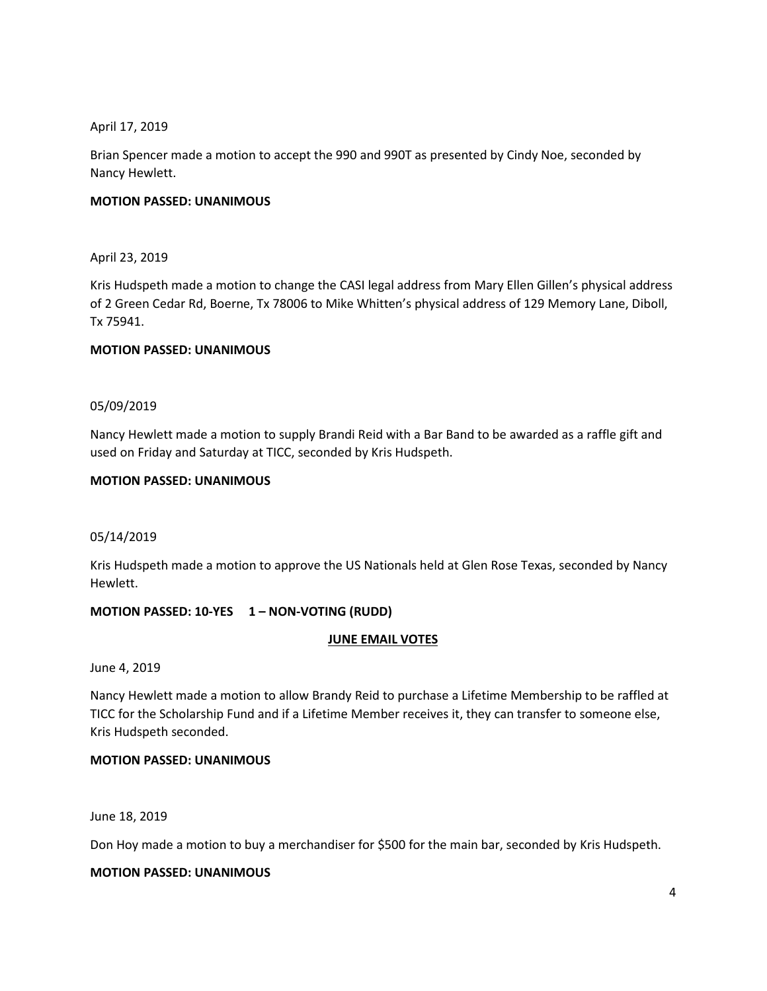April 17, 2019

Brian Spencer made a motion to accept the 990 and 990T as presented by Cindy Noe, seconded by Nancy Hewlett.

# MOTION PASSED: UNANIMOUS

April 23, 2019

Kris Hudspeth made a motion to change the CASI legal address from Mary Ellen Gillen's physical address of 2 Green Cedar Rd, Boerne, Tx 78006 to Mike Whitten's physical address of 129 Memory Lane, Diboll, Tx 75941.

## MOTION PASSED: UNANIMOUS

## 05/09/2019

Nancy Hewlett made a motion to supply Brandi Reid with a Bar Band to be awarded as a raffle gift and used on Friday and Saturday at TICC, seconded by Kris Hudspeth.

## MOTION PASSED: UNANIMOUS

## 05/14/2019

Kris Hudspeth made a motion to approve the US Nationals held at Glen Rose Texas, seconded by Nancy Hewlett.

## MOTION PASSED: 10-YES 1 – NON-VOTING (RUDD)

## JUNE EMAIL VOTES

June 4, 2019

Nancy Hewlett made a motion to allow Brandy Reid to purchase a Lifetime Membership to be raffled at TICC for the Scholarship Fund and if a Lifetime Member receives it, they can transfer to someone else, Kris Hudspeth seconded.

## MOTION PASSED: UNANIMOUS

June 18, 2019

Don Hoy made a motion to buy a merchandiser for \$500 for the main bar, seconded by Kris Hudspeth.

#### MOTION PASSED: UNANIMOUS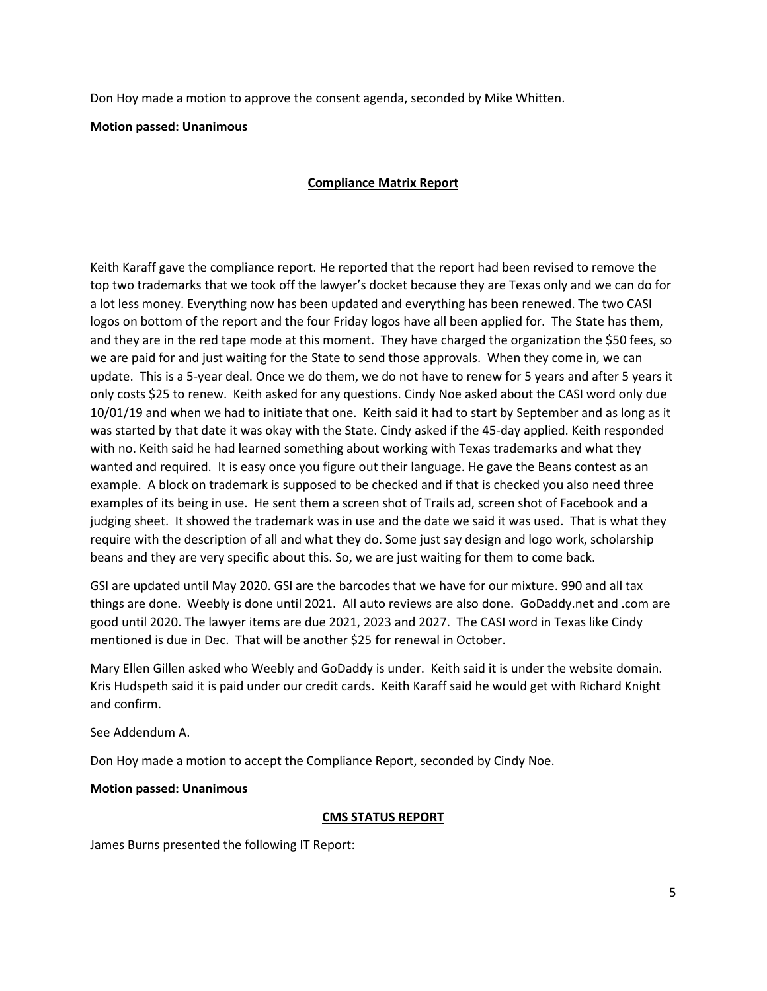Don Hoy made a motion to approve the consent agenda, seconded by Mike Whitten.

Motion passed: Unanimous

# Compliance Matrix Report

Keith Karaff gave the compliance report. He reported that the report had been revised to remove the top two trademarks that we took off the lawyer's docket because they are Texas only and we can do for a lot less money. Everything now has been updated and everything has been renewed. The two CASI logos on bottom of the report and the four Friday logos have all been applied for. The State has them, and they are in the red tape mode at this moment. They have charged the organization the \$50 fees, so we are paid for and just waiting for the State to send those approvals. When they come in, we can update. This is a 5-year deal. Once we do them, we do not have to renew for 5 years and after 5 years it only costs \$25 to renew. Keith asked for any questions. Cindy Noe asked about the CASI word only due 10/01/19 and when we had to initiate that one. Keith said it had to start by September and as long as it was started by that date it was okay with the State. Cindy asked if the 45-day applied. Keith responded with no. Keith said he had learned something about working with Texas trademarks and what they wanted and required. It is easy once you figure out their language. He gave the Beans contest as an example. A block on trademark is supposed to be checked and if that is checked you also need three examples of its being in use. He sent them a screen shot of Trails ad, screen shot of Facebook and a judging sheet. It showed the trademark was in use and the date we said it was used. That is what they require with the description of all and what they do. Some just say design and logo work, scholarship beans and they are very specific about this. So, we are just waiting for them to come back.

GSI are updated until May 2020. GSI are the barcodes that we have for our mixture. 990 and all tax things are done. Weebly is done until 2021. All auto reviews are also done. GoDaddy.net and .com are good until 2020. The lawyer items are due 2021, 2023 and 2027. The CASI word in Texas like Cindy mentioned is due in Dec. That will be another \$25 for renewal in October.

Mary Ellen Gillen asked who Weebly and GoDaddy is under. Keith said it is under the website domain. Kris Hudspeth said it is paid under our credit cards. Keith Karaff said he would get with Richard Knight and confirm.

See Addendum A.

Don Hoy made a motion to accept the Compliance Report, seconded by Cindy Noe.

## Motion passed: Unanimous

## CMS STATUS REPORT

James Burns presented the following IT Report: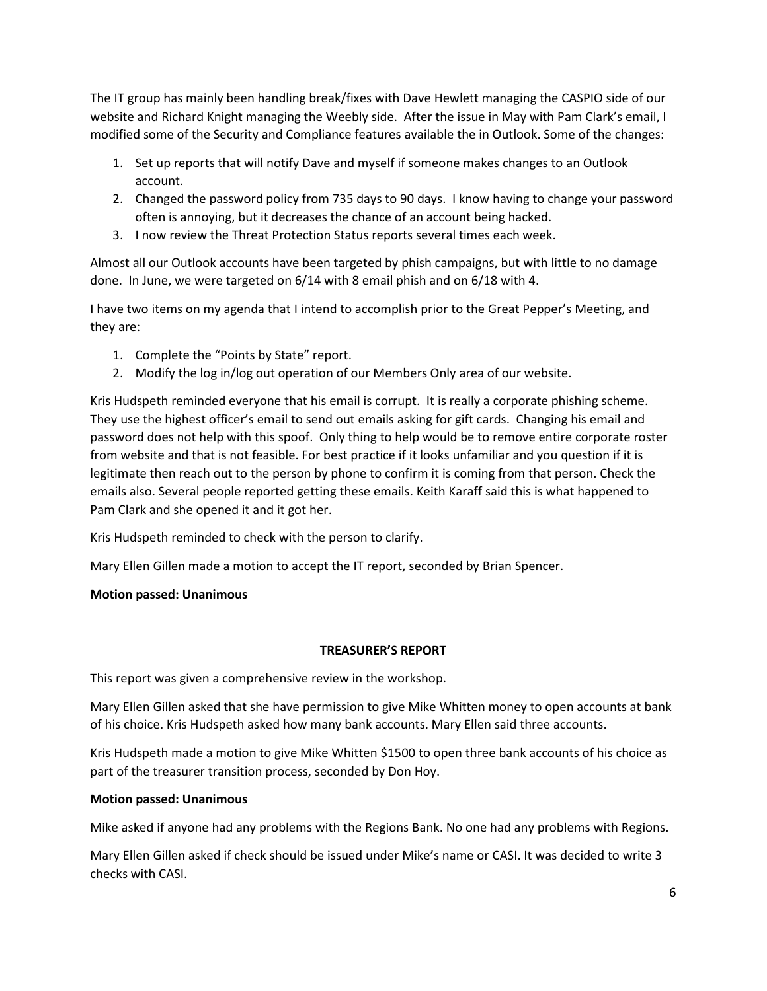The IT group has mainly been handling break/fixes with Dave Hewlett managing the CASPIO side of our website and Richard Knight managing the Weebly side. After the issue in May with Pam Clark's email, I modified some of the Security and Compliance features available the in Outlook. Some of the changes:

- 1. Set up reports that will notify Dave and myself if someone makes changes to an Outlook account.
- 2. Changed the password policy from 735 days to 90 days. I know having to change your password often is annoying, but it decreases the chance of an account being hacked.
- 3. I now review the Threat Protection Status reports several times each week.

Almost all our Outlook accounts have been targeted by phish campaigns, but with little to no damage done. In June, we were targeted on 6/14 with 8 email phish and on 6/18 with 4.

I have two items on my agenda that I intend to accomplish prior to the Great Pepper's Meeting, and they are:

- 1. Complete the "Points by State" report.
- 2. Modify the log in/log out operation of our Members Only area of our website.

Kris Hudspeth reminded everyone that his email is corrupt. It is really a corporate phishing scheme. They use the highest officer's email to send out emails asking for gift cards. Changing his email and password does not help with this spoof. Only thing to help would be to remove entire corporate roster from website and that is not feasible. For best practice if it looks unfamiliar and you question if it is legitimate then reach out to the person by phone to confirm it is coming from that person. Check the emails also. Several people reported getting these emails. Keith Karaff said this is what happened to Pam Clark and she opened it and it got her.

Kris Hudspeth reminded to check with the person to clarify.

Mary Ellen Gillen made a motion to accept the IT report, seconded by Brian Spencer.

## Motion passed: Unanimous

## TREASURER'S REPORT

This report was given a comprehensive review in the workshop.

Mary Ellen Gillen asked that she have permission to give Mike Whitten money to open accounts at bank of his choice. Kris Hudspeth asked how many bank accounts. Mary Ellen said three accounts.

Kris Hudspeth made a motion to give Mike Whitten \$1500 to open three bank accounts of his choice as part of the treasurer transition process, seconded by Don Hoy.

## Motion passed: Unanimous

Mike asked if anyone had any problems with the Regions Bank. No one had any problems with Regions.

Mary Ellen Gillen asked if check should be issued under Mike's name or CASI. It was decided to write 3 checks with CASI.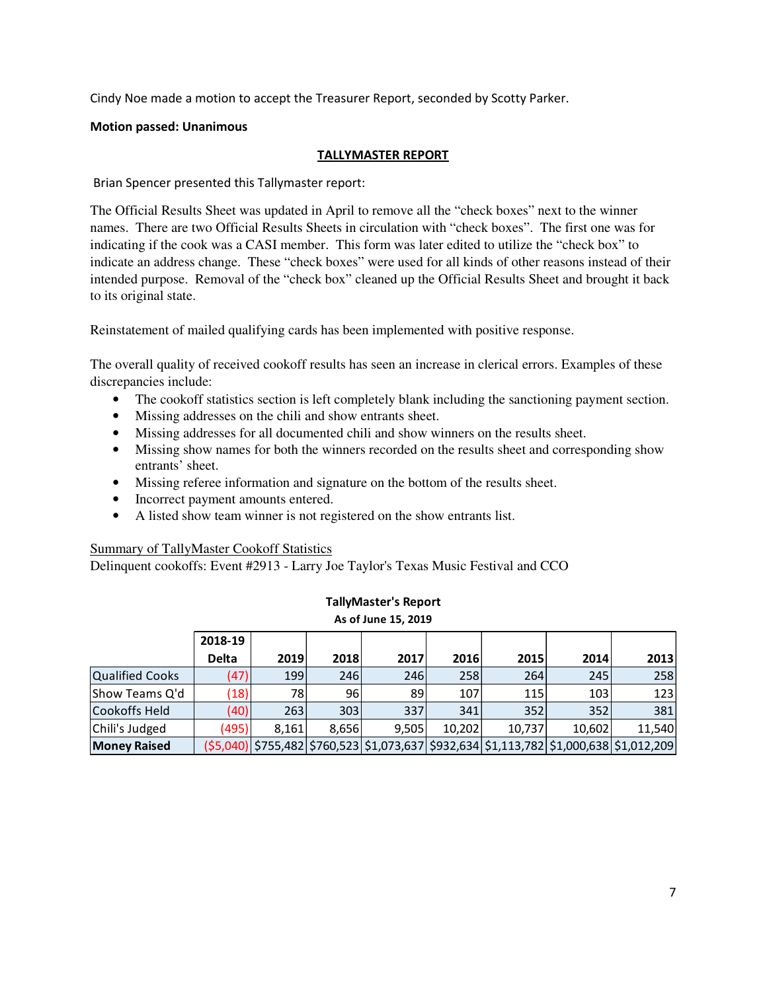Cindy Noe made a motion to accept the Treasurer Report, seconded by Scotty Parker.

## Motion passed: Unanimous

# TALLYMASTER REPORT

Brian Spencer presented this Tallymaster report:

The Official Results Sheet was updated in April to remove all the "check boxes" next to the winner names. There are two Official Results Sheets in circulation with "check boxes". The first one was for indicating if the cook was a CASI member. This form was later edited to utilize the "check box" to indicate an address change. These "check boxes" were used for all kinds of other reasons instead of their intended purpose. Removal of the "check box" cleaned up the Official Results Sheet and brought it back to its original state.

Reinstatement of mailed qualifying cards has been implemented with positive response.

The overall quality of received cookoff results has seen an increase in clerical errors. Examples of these discrepancies include:

- The cookoff statistics section is left completely blank including the sanctioning payment section.
- Missing addresses on the chili and show entrants sheet.
- Missing addresses for all documented chili and show winners on the results sheet.
- Missing show names for both the winners recorded on the results sheet and corresponding show entrants' sheet.
- Missing referee information and signature on the bottom of the results sheet.
- Incorrect payment amounts entered.
- A listed show team winner is not registered on the show entrants list.

## Summary of TallyMaster Cookoff Statistics

Delinquent cookoffs: Event #2913 - Larry Joe Taylor's Texas Music Festival and CCO

| As of June 15, 2019 |              |       |       |       |        |        |                                                                                         |        |
|---------------------|--------------|-------|-------|-------|--------|--------|-----------------------------------------------------------------------------------------|--------|
|                     | 2018-19      |       |       |       |        |        |                                                                                         |        |
|                     | <b>Delta</b> | 2019  | 2018  | 2017  | 2016   | 2015   | 2014                                                                                    | 2013   |
| Qualified Cooks     | (47)         | 199   | 246   | 246   | 258    | 264    | 245                                                                                     | 258    |
| Show Teams Q'd      | (18)         | 78    | 96    | 89    | 107    | 115    | 103                                                                                     | 123    |
| Cookoffs Held       | (40)         | 263   | 303   | 337   | 341    | 352    | 352                                                                                     | 381    |
| Chili's Judged      | (495)        | 8.161 | 8,656 | 9,505 | 10,202 | 10,737 | 10,602                                                                                  | 11,540 |
| <b>Money Raised</b> |              |       |       |       |        |        | (\$5,040) \$755,482 \$760,523 \$1,073,637 \$932,634 \$1,113,782 \$1,000,638 \$1,012,209 |        |

# TallyMaster's Report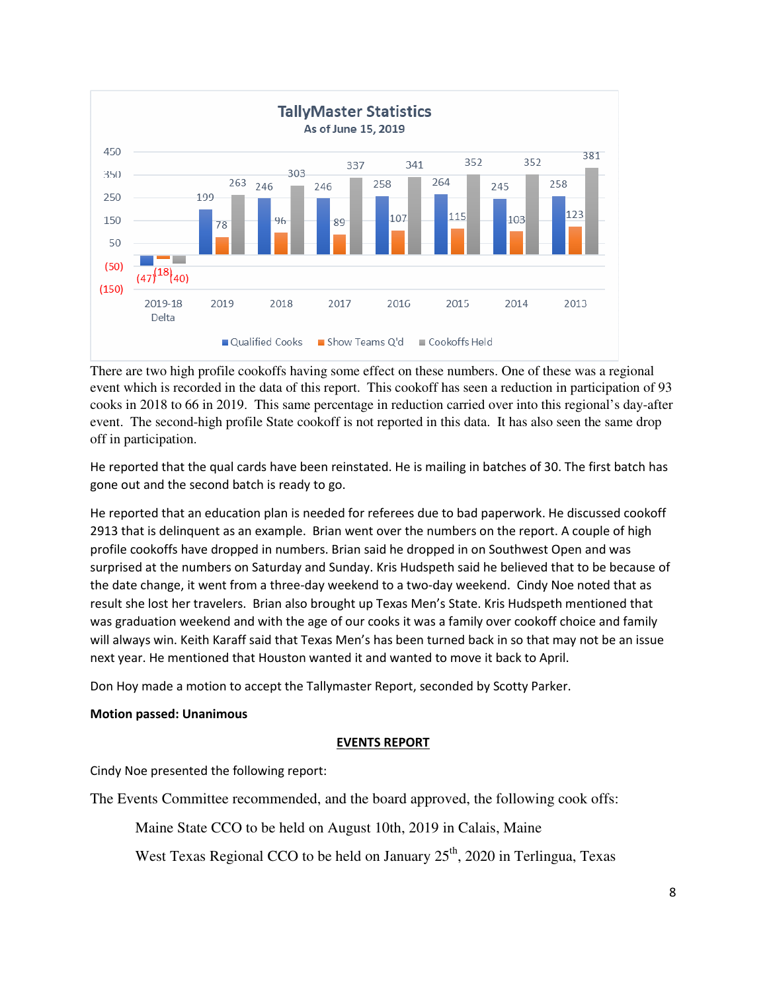

There are two high profile cookoffs having some effect on these numbers. One of these was a regional event which is recorded in the data of this report. This cookoff has seen a reduction in participation of 93 cooks in 2018 to 66 in 2019. This same percentage in reduction carried over into this regional's day-after event. The second-high profile State cookoff is not reported in this data. It has also seen the same drop off in participation.

He reported that the qual cards have been reinstated. He is mailing in batches of 30. The first batch has gone out and the second batch is ready to go.

He reported that an education plan is needed for referees due to bad paperwork. He discussed cookoff 2913 that is delinquent as an example. Brian went over the numbers on the report. A couple of high profile cookoffs have dropped in numbers. Brian said he dropped in on Southwest Open and was surprised at the numbers on Saturday and Sunday. Kris Hudspeth said he believed that to be because of the date change, it went from a three-day weekend to a two-day weekend. Cindy Noe noted that as result she lost her travelers. Brian also brought up Texas Men's State. Kris Hudspeth mentioned that was graduation weekend and with the age of our cooks it was a family over cookoff choice and family will always win. Keith Karaff said that Texas Men's has been turned back in so that may not be an issue next year. He mentioned that Houston wanted it and wanted to move it back to April.

Don Hoy made a motion to accept the Tallymaster Report, seconded by Scotty Parker.

## Motion passed: Unanimous

## EVENTS REPORT

Cindy Noe presented the following report:

The Events Committee recommended, and the board approved, the following cook offs:

Maine State CCO to be held on August 10th, 2019 in Calais, Maine

West Texas Regional CCO to be held on January  $25<sup>th</sup>$ , 2020 in Terlingua, Texas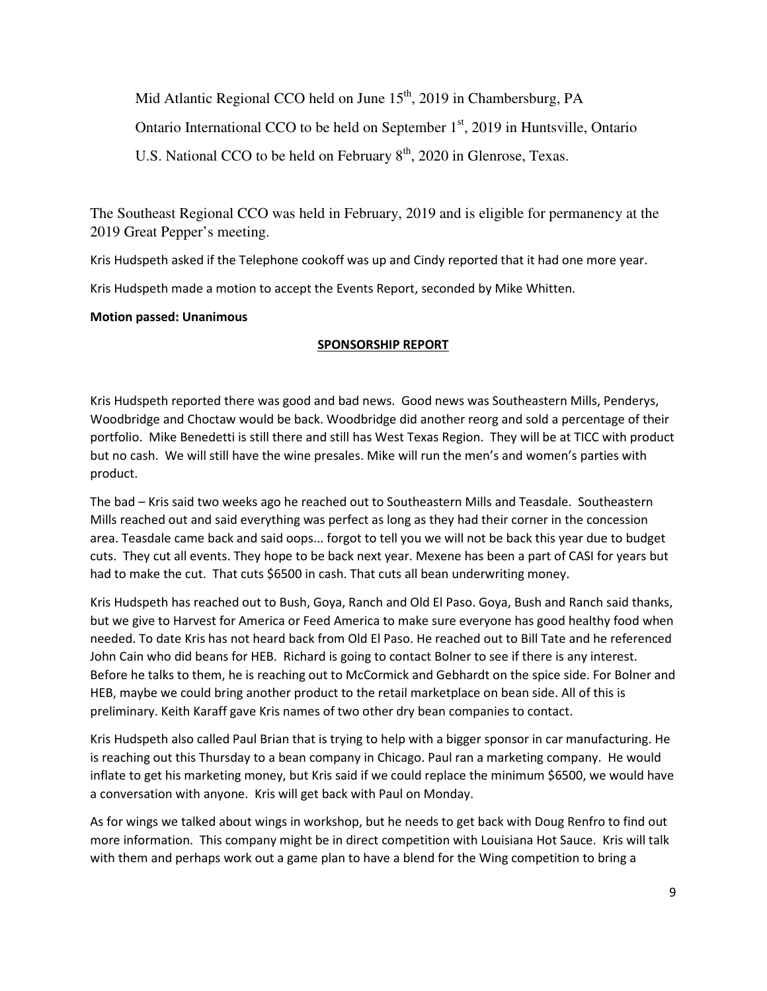Mid Atlantic Regional CCO held on June  $15<sup>th</sup>$ , 2019 in Chambersburg, PA Ontario International CCO to be held on September 1<sup>st</sup>, 2019 in Huntsville, Ontario U.S. National CCO to be held on February  $8<sup>th</sup>$ , 2020 in Glenrose, Texas.

The Southeast Regional CCO was held in February, 2019 and is eligible for permanency at the 2019 Great Pepper's meeting.

Kris Hudspeth asked if the Telephone cookoff was up and Cindy reported that it had one more year.

Kris Hudspeth made a motion to accept the Events Report, seconded by Mike Whitten.

# Motion passed: Unanimous

# SPONSORSHIP REPORT

Kris Hudspeth reported there was good and bad news. Good news was Southeastern Mills, Penderys, Woodbridge and Choctaw would be back. Woodbridge did another reorg and sold a percentage of their portfolio. Mike Benedetti is still there and still has West Texas Region. They will be at TICC with product but no cash. We will still have the wine presales. Mike will run the men's and women's parties with product.

The bad – Kris said two weeks ago he reached out to Southeastern Mills and Teasdale. Southeastern Mills reached out and said everything was perfect as long as they had their corner in the concession area. Teasdale came back and said oops... forgot to tell you we will not be back this year due to budget cuts. They cut all events. They hope to be back next year. Mexene has been a part of CASI for years but had to make the cut. That cuts \$6500 in cash. That cuts all bean underwriting money.

Kris Hudspeth has reached out to Bush, Goya, Ranch and Old El Paso. Goya, Bush and Ranch said thanks, but we give to Harvest for America or Feed America to make sure everyone has good healthy food when needed. To date Kris has not heard back from Old El Paso. He reached out to Bill Tate and he referenced John Cain who did beans for HEB. Richard is going to contact Bolner to see if there is any interest. Before he talks to them, he is reaching out to McCormick and Gebhardt on the spice side. For Bolner and HEB, maybe we could bring another product to the retail marketplace on bean side. All of this is preliminary. Keith Karaff gave Kris names of two other dry bean companies to contact.

Kris Hudspeth also called Paul Brian that is trying to help with a bigger sponsor in car manufacturing. He is reaching out this Thursday to a bean company in Chicago. Paul ran a marketing company. He would inflate to get his marketing money, but Kris said if we could replace the minimum \$6500, we would have a conversation with anyone. Kris will get back with Paul on Monday.

As for wings we talked about wings in workshop, but he needs to get back with Doug Renfro to find out more information. This company might be in direct competition with Louisiana Hot Sauce. Kris will talk with them and perhaps work out a game plan to have a blend for the Wing competition to bring a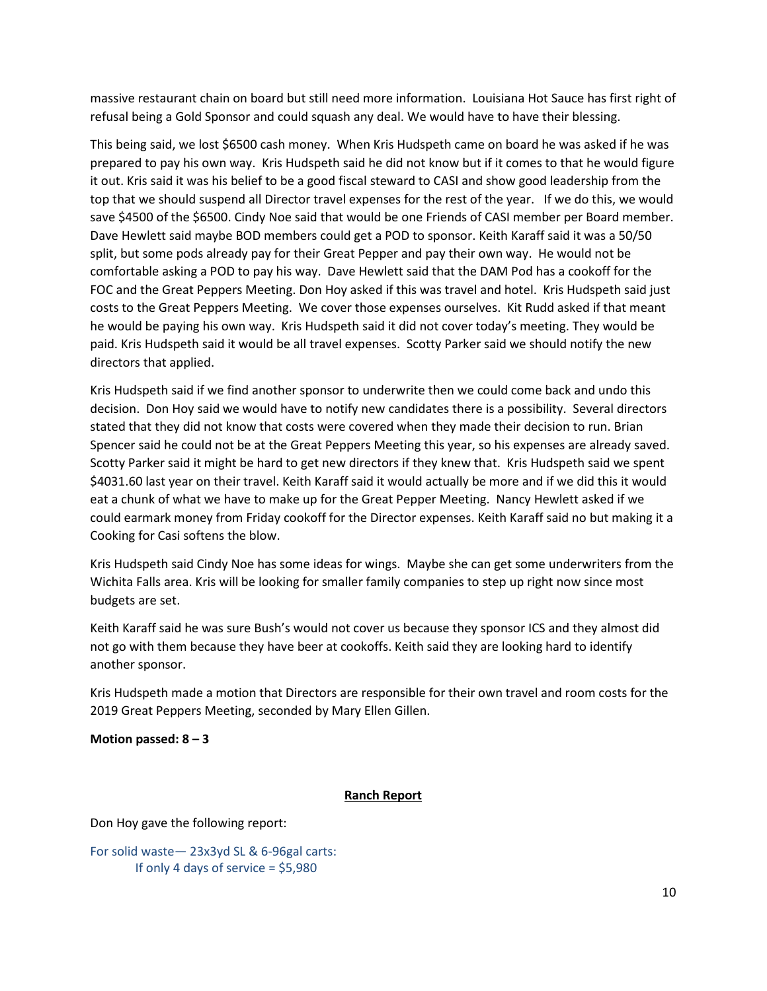massive restaurant chain on board but still need more information. Louisiana Hot Sauce has first right of refusal being a Gold Sponsor and could squash any deal. We would have to have their blessing.

This being said, we lost \$6500 cash money. When Kris Hudspeth came on board he was asked if he was prepared to pay his own way. Kris Hudspeth said he did not know but if it comes to that he would figure it out. Kris said it was his belief to be a good fiscal steward to CASI and show good leadership from the top that we should suspend all Director travel expenses for the rest of the year. If we do this, we would save \$4500 of the \$6500. Cindy Noe said that would be one Friends of CASI member per Board member. Dave Hewlett said maybe BOD members could get a POD to sponsor. Keith Karaff said it was a 50/50 split, but some pods already pay for their Great Pepper and pay their own way. He would not be comfortable asking a POD to pay his way. Dave Hewlett said that the DAM Pod has a cookoff for the FOC and the Great Peppers Meeting. Don Hoy asked if this was travel and hotel. Kris Hudspeth said just costs to the Great Peppers Meeting. We cover those expenses ourselves. Kit Rudd asked if that meant he would be paying his own way. Kris Hudspeth said it did not cover today's meeting. They would be paid. Kris Hudspeth said it would be all travel expenses. Scotty Parker said we should notify the new directors that applied.

Kris Hudspeth said if we find another sponsor to underwrite then we could come back and undo this decision. Don Hoy said we would have to notify new candidates there is a possibility. Several directors stated that they did not know that costs were covered when they made their decision to run. Brian Spencer said he could not be at the Great Peppers Meeting this year, so his expenses are already saved. Scotty Parker said it might be hard to get new directors if they knew that. Kris Hudspeth said we spent \$4031.60 last year on their travel. Keith Karaff said it would actually be more and if we did this it would eat a chunk of what we have to make up for the Great Pepper Meeting. Nancy Hewlett asked if we could earmark money from Friday cookoff for the Director expenses. Keith Karaff said no but making it a Cooking for Casi softens the blow.

Kris Hudspeth said Cindy Noe has some ideas for wings. Maybe she can get some underwriters from the Wichita Falls area. Kris will be looking for smaller family companies to step up right now since most budgets are set.

Keith Karaff said he was sure Bush's would not cover us because they sponsor ICS and they almost did not go with them because they have beer at cookoffs. Keith said they are looking hard to identify another sponsor.

Kris Hudspeth made a motion that Directors are responsible for their own travel and room costs for the 2019 Great Peppers Meeting, seconded by Mary Ellen Gillen.

#### Motion passed:  $8 - 3$

#### Ranch Report

Don Hoy gave the following report:

For solid waste— 23x3yd SL & 6-96gal carts: If only 4 days of service  $=$  \$5,980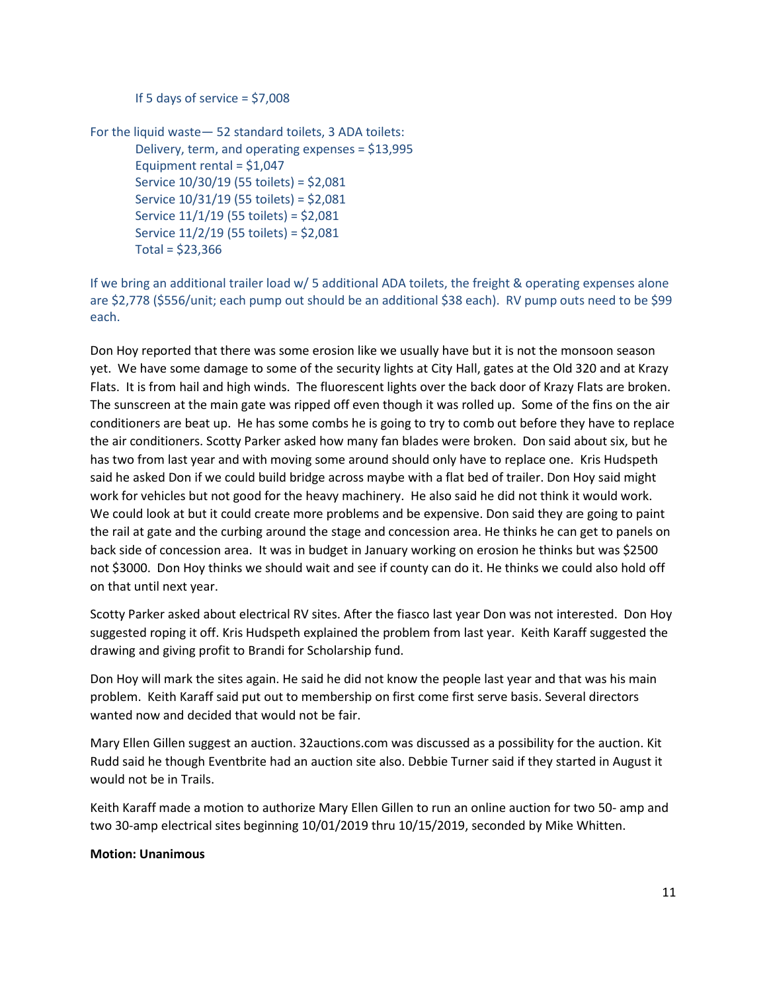If 5 days of service  $=$  \$7,008

For the liquid waste— 52 standard toilets, 3 ADA toilets: Delivery, term, and operating expenses = \$13,995 Equipment rental = \$1,047 Service 10/30/19 (55 toilets) = \$2,081 Service 10/31/19 (55 toilets) = \$2,081 Service 11/1/19 (55 toilets) = \$2,081 Service 11/2/19 (55 toilets) = \$2,081  $Total = $23,366$ 

If we bring an additional trailer load w/ 5 additional ADA toilets, the freight & operating expenses alone are \$2,778 (\$556/unit; each pump out should be an additional \$38 each). RV pump outs need to be \$99 each.

Don Hoy reported that there was some erosion like we usually have but it is not the monsoon season yet. We have some damage to some of the security lights at City Hall, gates at the Old 320 and at Krazy Flats. It is from hail and high winds. The fluorescent lights over the back door of Krazy Flats are broken. The sunscreen at the main gate was ripped off even though it was rolled up. Some of the fins on the air conditioners are beat up. He has some combs he is going to try to comb out before they have to replace the air conditioners. Scotty Parker asked how many fan blades were broken. Don said about six, but he has two from last year and with moving some around should only have to replace one. Kris Hudspeth said he asked Don if we could build bridge across maybe with a flat bed of trailer. Don Hoy said might work for vehicles but not good for the heavy machinery. He also said he did not think it would work. We could look at but it could create more problems and be expensive. Don said they are going to paint the rail at gate and the curbing around the stage and concession area. He thinks he can get to panels on back side of concession area. It was in budget in January working on erosion he thinks but was \$2500 not \$3000. Don Hoy thinks we should wait and see if county can do it. He thinks we could also hold off on that until next year.

Scotty Parker asked about electrical RV sites. After the fiasco last year Don was not interested. Don Hoy suggested roping it off. Kris Hudspeth explained the problem from last year. Keith Karaff suggested the drawing and giving profit to Brandi for Scholarship fund.

Don Hoy will mark the sites again. He said he did not know the people last year and that was his main problem. Keith Karaff said put out to membership on first come first serve basis. Several directors wanted now and decided that would not be fair.

Mary Ellen Gillen suggest an auction. 32auctions.com was discussed as a possibility for the auction. Kit Rudd said he though Eventbrite had an auction site also. Debbie Turner said if they started in August it would not be in Trails.

Keith Karaff made a motion to authorize Mary Ellen Gillen to run an online auction for two 50- amp and two 30-amp electrical sites beginning 10/01/2019 thru 10/15/2019, seconded by Mike Whitten.

## Motion: Unanimous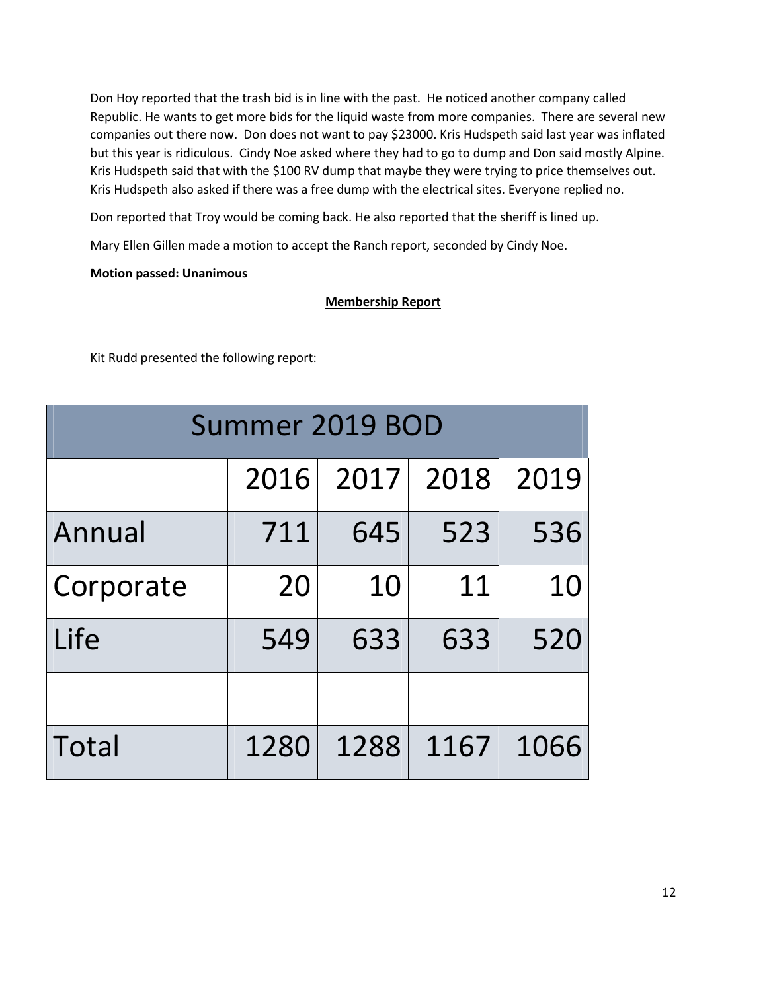Don Hoy reported that the trash bid is in line with the past. He noticed another company called Republic. He wants to get more bids for the liquid waste from more companies. There are several new companies out there now. Don does not want to pay \$23000. Kris Hudspeth said last year was inflated but this year is ridiculous. Cindy Noe asked where they had to go to dump and Don said mostly Alpine. Kris Hudspeth said that with the \$100 RV dump that maybe they were trying to price themselves out. Kris Hudspeth also asked if there was a free dump with the electrical sites. Everyone replied no.

Don reported that Troy would be coming back. He also reported that the sheriff is lined up.

Mary Ellen Gillen made a motion to accept the Ranch report, seconded by Cindy Noe.

## Motion passed: Unanimous

# Membership Report

Kit Rudd presented the following report:

| Summer 2019 BOD |      |      |      |      |  |  |  |
|-----------------|------|------|------|------|--|--|--|
|                 | 2016 | 2017 | 2018 | 2019 |  |  |  |
| Annual          | 711  | 645  | 523  | 536  |  |  |  |
| Corporate       | 20   | 10   | 11   | 10   |  |  |  |
| Life            | 549  | 633  | 633  | 520  |  |  |  |
|                 |      |      |      |      |  |  |  |
| Total           | 1280 | 1288 | 1167 | 1066 |  |  |  |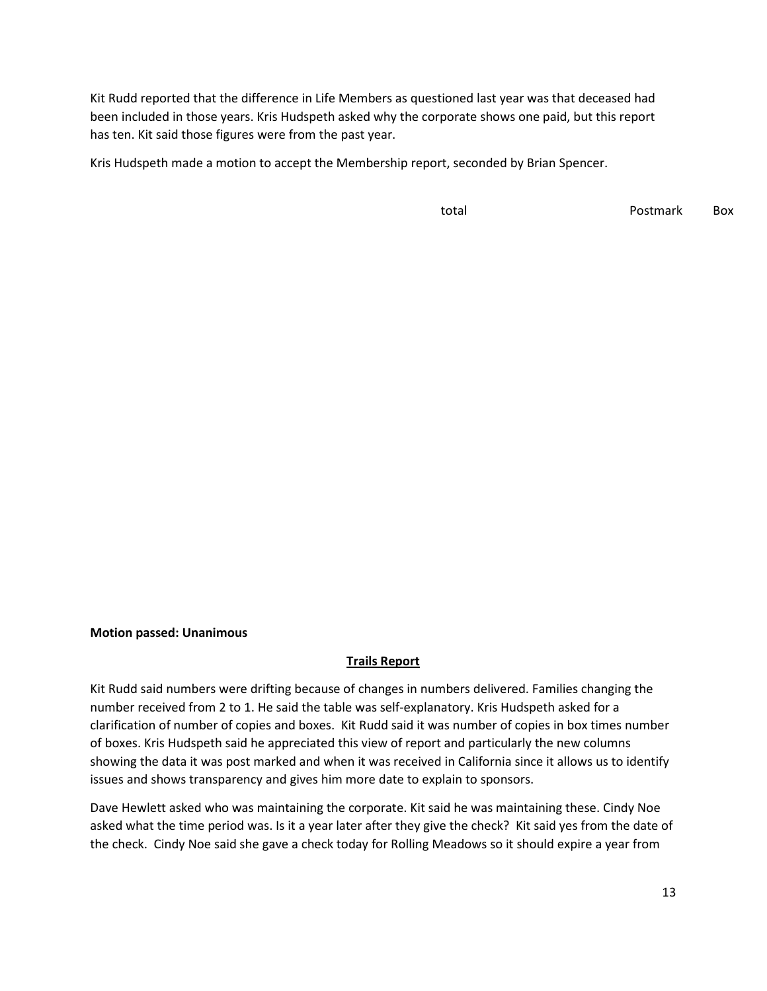Kit Rudd reported that the difference in Life Members as questioned last year was that deceased had been included in those years. Kris Hudspeth asked why the corporate shows one paid, but this report has ten. Kit said those figures were from the past year.

Kris Hudspeth made a motion to accept the Membership report, seconded by Brian Spencer.

total total Postmark Box

#### Motion passed: Unanimous

#### Trails Report

Kit Rudd said numbers were drifting because of changes in numbers delivered. Families changing the number received from 2 to 1. He said the table was self-explanatory. Kris Hudspeth asked for a clarification of number of copies and boxes. Kit Rudd said it was number of copies in box times number of boxes. Kris Hudspeth said he appreciated this view of report and particularly the new columns showing the data it was post marked and when it was received in California since it allows us to identify issues and shows transparency and gives him more date to explain to sponsors.

Dave Hewlett asked who was maintaining the corporate. Kit said he was maintaining these. Cindy Noe asked what the time period was. Is it a year later after they give the check? Kit said yes from the date of the check. Cindy Noe said she gave a check today for Rolling Meadows so it should expire a year from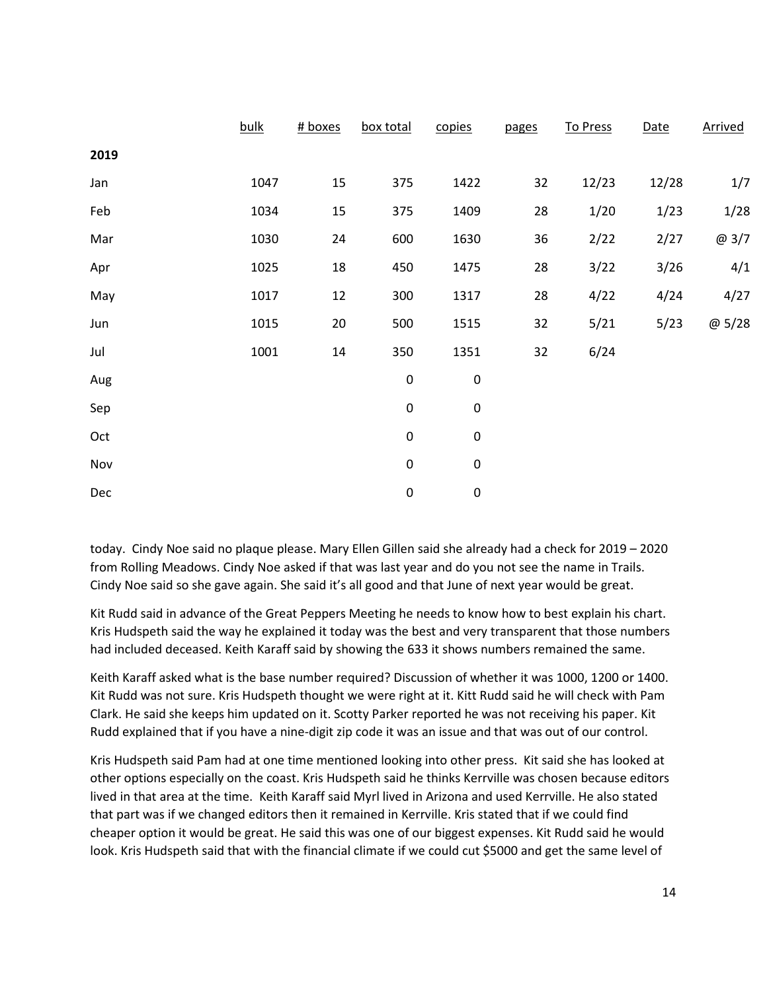|      | bulk | # boxes | box total | copies    | pages | To Press | Date  | Arrived |
|------|------|---------|-----------|-----------|-------|----------|-------|---------|
| 2019 |      |         |           |           |       |          |       |         |
| Jan  | 1047 | 15      | 375       | 1422      | 32    | 12/23    | 12/28 | $1/7$   |
| Feb  | 1034 | 15      | 375       | 1409      | 28    | 1/20     | 1/23  | 1/28    |
| Mar  | 1030 | 24      | 600       | 1630      | 36    | 2/22     | 2/27  | @3/7    |
| Apr  | 1025 | 18      | 450       | 1475      | 28    | 3/22     | 3/26  | 4/1     |
| May  | 1017 | 12      | 300       | 1317      | 28    | 4/22     | 4/24  | 4/27    |
| Jun  | 1015 | 20      | 500       | 1515      | 32    | 5/21     | 5/23  | @5/28   |
| Jul  | 1001 | 14      | 350       | 1351      | 32    | 6/24     |       |         |
| Aug  |      |         | $\pmb{0}$ | $\pmb{0}$ |       |          |       |         |
| Sep  |      |         | $\pmb{0}$ | $\pmb{0}$ |       |          |       |         |
| Oct  |      |         | $\pmb{0}$ | $\pmb{0}$ |       |          |       |         |
| Nov  |      |         | $\pmb{0}$ | $\pmb{0}$ |       |          |       |         |
| Dec  |      |         | $\pmb{0}$ | $\pmb{0}$ |       |          |       |         |

today. Cindy Noe said no plaque please. Mary Ellen Gillen said she already had a check for 2019 – 2020 from Rolling Meadows. Cindy Noe asked if that was last year and do you not see the name in Trails. Cindy Noe said so she gave again. She said it's all good and that June of next year would be great.

Kit Rudd said in advance of the Great Peppers Meeting he needs to know how to best explain his chart. Kris Hudspeth said the way he explained it today was the best and very transparent that those numbers had included deceased. Keith Karaff said by showing the 633 it shows numbers remained the same.

Keith Karaff asked what is the base number required? Discussion of whether it was 1000, 1200 or 1400. Kit Rudd was not sure. Kris Hudspeth thought we were right at it. Kitt Rudd said he will check with Pam Clark. He said she keeps him updated on it. Scotty Parker reported he was not receiving his paper. Kit Rudd explained that if you have a nine-digit zip code it was an issue and that was out of our control.

Kris Hudspeth said Pam had at one time mentioned looking into other press. Kit said she has looked at other options especially on the coast. Kris Hudspeth said he thinks Kerrville was chosen because editors lived in that area at the time. Keith Karaff said Myrl lived in Arizona and used Kerrville. He also stated that part was if we changed editors then it remained in Kerrville. Kris stated that if we could find cheaper option it would be great. He said this was one of our biggest expenses. Kit Rudd said he would look. Kris Hudspeth said that with the financial climate if we could cut \$5000 and get the same level of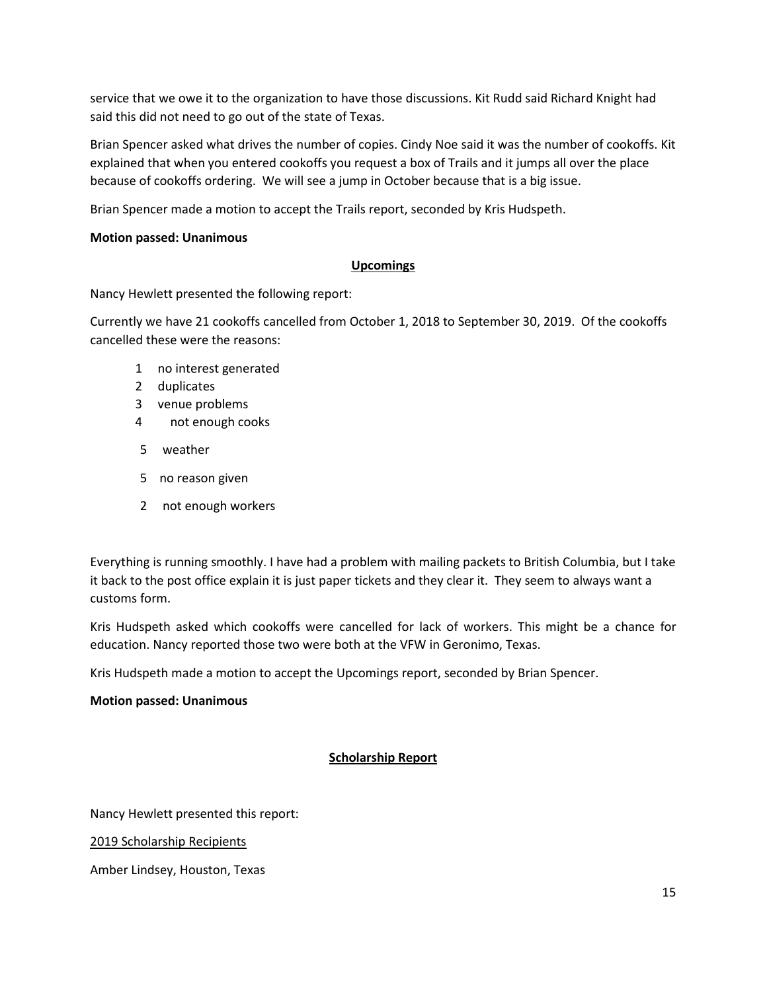service that we owe it to the organization to have those discussions. Kit Rudd said Richard Knight had said this did not need to go out of the state of Texas.

Brian Spencer asked what drives the number of copies. Cindy Noe said it was the number of cookoffs. Kit explained that when you entered cookoffs you request a box of Trails and it jumps all over the place because of cookoffs ordering. We will see a jump in October because that is a big issue.

Brian Spencer made a motion to accept the Trails report, seconded by Kris Hudspeth.

# Motion passed: Unanimous

## Upcomings

Nancy Hewlett presented the following report:

Currently we have 21 cookoffs cancelled from October 1, 2018 to September 30, 2019. Of the cookoffs cancelled these were the reasons:

- 1 no interest generated
- 2 duplicates
- 3 venue problems
- 4 not enough cooks
- 5 weather
- 5 no reason given
- 2 not enough workers

Everything is running smoothly. I have had a problem with mailing packets to British Columbia, but I take it back to the post office explain it is just paper tickets and they clear it. They seem to always want a customs form.

Kris Hudspeth asked which cookoffs were cancelled for lack of workers. This might be a chance for education. Nancy reported those two were both at the VFW in Geronimo, Texas.

Kris Hudspeth made a motion to accept the Upcomings report, seconded by Brian Spencer.

## Motion passed: Unanimous

# Scholarship Report

Nancy Hewlett presented this report:

2019 Scholarship Recipients

Amber Lindsey, Houston, Texas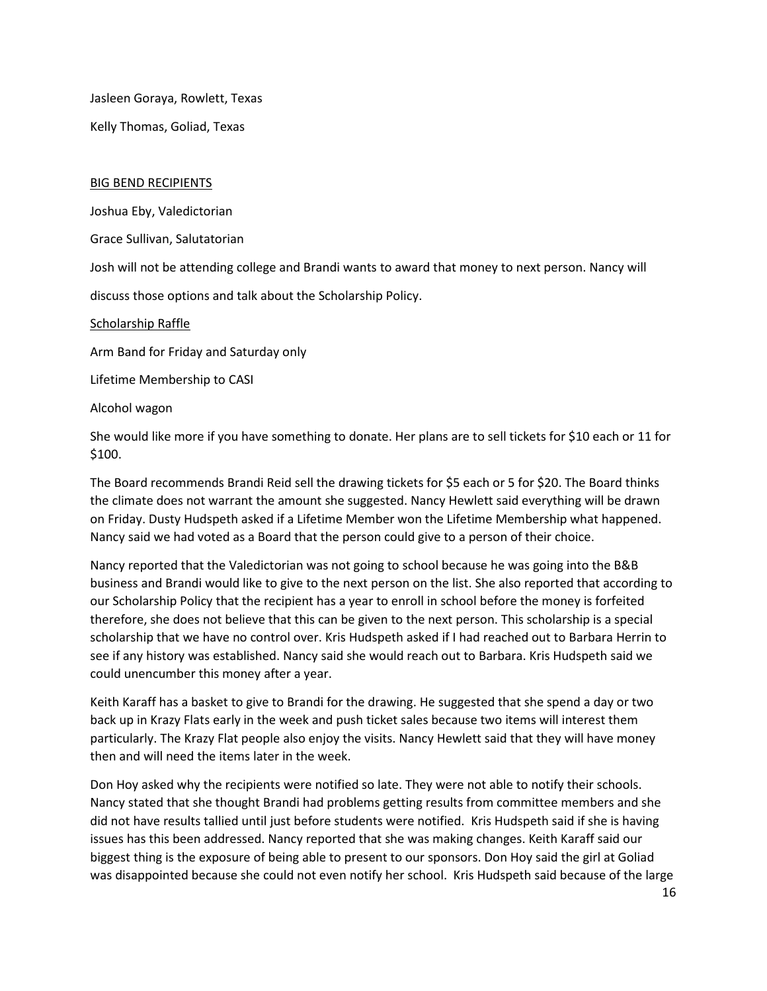Jasleen Goraya, Rowlett, Texas

Kelly Thomas, Goliad, Texas

#### BIG BEND RECIPIENTS

Joshua Eby, Valedictorian

Grace Sullivan, Salutatorian

Josh will not be attending college and Brandi wants to award that money to next person. Nancy will

discuss those options and talk about the Scholarship Policy.

Scholarship Raffle

Arm Band for Friday and Saturday only

Lifetime Membership to CASI

Alcohol wagon

She would like more if you have something to donate. Her plans are to sell tickets for \$10 each or 11 for \$100.

The Board recommends Brandi Reid sell the drawing tickets for \$5 each or 5 for \$20. The Board thinks the climate does not warrant the amount she suggested. Nancy Hewlett said everything will be drawn on Friday. Dusty Hudspeth asked if a Lifetime Member won the Lifetime Membership what happened. Nancy said we had voted as a Board that the person could give to a person of their choice.

Nancy reported that the Valedictorian was not going to school because he was going into the B&B business and Brandi would like to give to the next person on the list. She also reported that according to our Scholarship Policy that the recipient has a year to enroll in school before the money is forfeited therefore, she does not believe that this can be given to the next person. This scholarship is a special scholarship that we have no control over. Kris Hudspeth asked if I had reached out to Barbara Herrin to see if any history was established. Nancy said she would reach out to Barbara. Kris Hudspeth said we could unencumber this money after a year.

Keith Karaff has a basket to give to Brandi for the drawing. He suggested that she spend a day or two back up in Krazy Flats early in the week and push ticket sales because two items will interest them particularly. The Krazy Flat people also enjoy the visits. Nancy Hewlett said that they will have money then and will need the items later in the week.

Don Hoy asked why the recipients were notified so late. They were not able to notify their schools. Nancy stated that she thought Brandi had problems getting results from committee members and she did not have results tallied until just before students were notified. Kris Hudspeth said if she is having issues has this been addressed. Nancy reported that she was making changes. Keith Karaff said our biggest thing is the exposure of being able to present to our sponsors. Don Hoy said the girl at Goliad was disappointed because she could not even notify her school. Kris Hudspeth said because of the large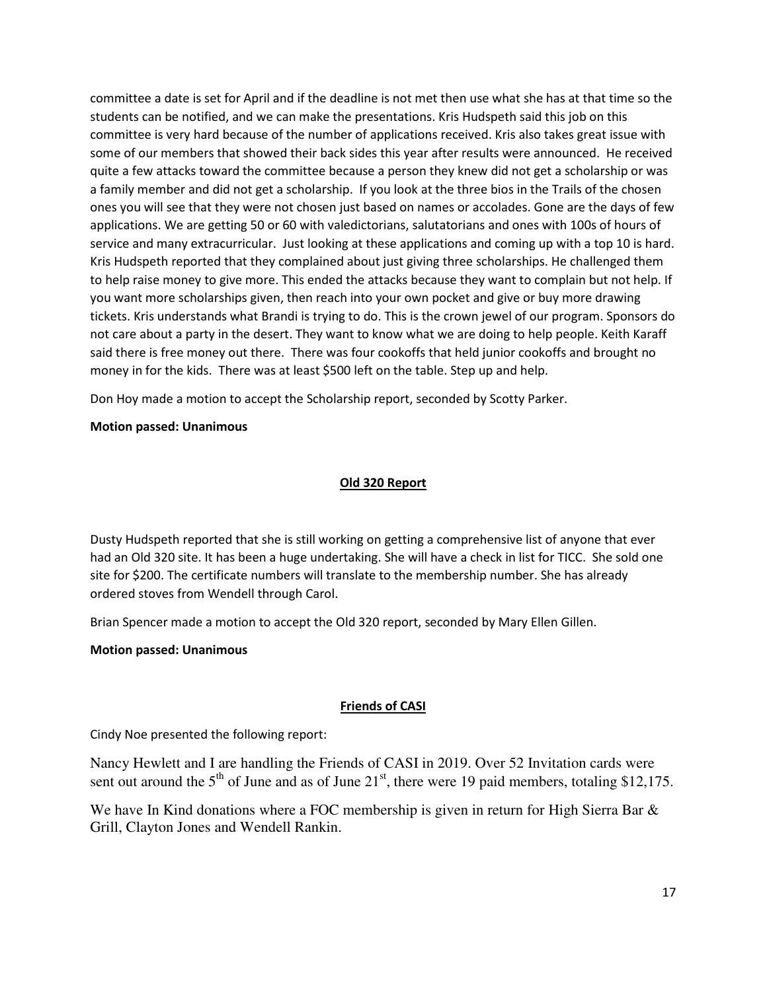committee a date is set for April and if the deadline is not met then use what she has at that time so the students can be notified, and we can make the presentations. Kris Hudspeth said this job on this committee is very hard because of the number of applications received. Kris also takes great issue with some of our members that showed their back sides this year after results were announced. He received quite a few attacks toward the committee because a person they knew did not get a scholarship or was a family member and did not get a scholarship. If you look at the three bios in the Trails of the chosen ones you will see that they were not chosen just based on names or accolades. Gone are the days of few applications. We are getting 50 or 60 with valedictorians, salutatorians and ones with 100s of hours of service and many extracurricular. Just looking at these applications and coming up with a top 10 is hard. Kris Hudspeth reported that they complained about just giving three scholarships. He challenged them to help raise money to give more. This ended the attacks because they want to complain but not help. If you want more scholarships given, then reach into your own pocket and give or buy more drawing tickets. Kris understands what Brandi is trying to do. This is the crown jewel of our program. Sponsors do not care about a party in the desert. They want to know what we are doing to help people. Keith Karaff said there is free money out there. There was four cookoffs that held junior cookoffs and brought no money in for the kids. There was at least \$500 left on the table. Step up and help.

Don Hoy made a motion to accept the Scholarship report, seconded by Scotty Parker.

# Motion passed: Unanimous

# Old 320 Report

Dusty Hudspeth reported that she is still working on getting a comprehensive list of anyone that ever had an Old 320 site. It has been a huge undertaking. She will have a check in list for TICC. She sold one site for \$200. The certificate numbers will translate to the membership number. She has already ordered stoves from Wendell through Carol.

Brian Spencer made a motion to accept the Old 320 report, seconded by Mary Ellen Gillen.

## Motion passed: Unanimous

# Friends of CASI

Cindy Noe presented the following report:

Nancy Hewlett and I are handling the Friends of CASI in 2019. Over 52 Invitation cards were sent out around the  $5<sup>th</sup>$  of June and as of June 21<sup>st</sup>, there were 19 paid members, totaling \$12,175.

We have In Kind donations where a FOC membership is given in return for High Sierra Bar & Grill, Clayton Jones and Wendell Rankin.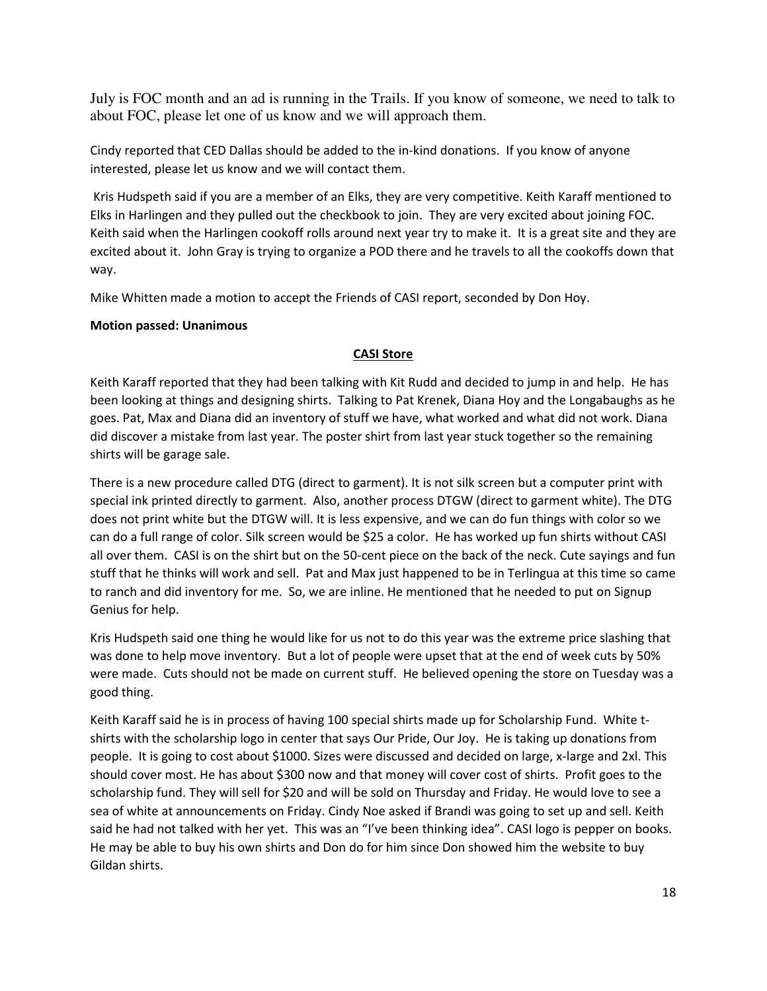July is FOC month and an ad is running in the Trails. If you know of someone, we need to talk to about FOC, please let one of us know and we will approach them.

Cindy reported that CED Dallas should be added to the in-kind donations. If you know of anyone interested, please let us know and we will contact them.

 Kris Hudspeth said if you are a member of an Elks, they are very competitive. Keith Karaff mentioned to Elks in Harlingen and they pulled out the checkbook to join. They are very excited about joining FOC. Keith said when the Harlingen cookoff rolls around next year try to make it. It is a great site and they are excited about it. John Gray is trying to organize a POD there and he travels to all the cookoffs down that way.

Mike Whitten made a motion to accept the Friends of CASI report, seconded by Don Hoy.

# Motion passed: Unanimous

# CASI Store

Keith Karaff reported that they had been talking with Kit Rudd and decided to jump in and help. He has been looking at things and designing shirts. Talking to Pat Krenek, Diana Hoy and the Longabaughs as he goes. Pat, Max and Diana did an inventory of stuff we have, what worked and what did not work. Diana did discover a mistake from last year. The poster shirt from last year stuck together so the remaining shirts will be garage sale.

There is a new procedure called DTG (direct to garment). It is not silk screen but a computer print with special ink printed directly to garment. Also, another process DTGW (direct to garment white). The DTG does not print white but the DTGW will. It is less expensive, and we can do fun things with color so we can do a full range of color. Silk screen would be \$25 a color. He has worked up fun shirts without CASI all over them. CASI is on the shirt but on the 50-cent piece on the back of the neck. Cute sayings and fun stuff that he thinks will work and sell. Pat and Max just happened to be in Terlingua at this time so came to ranch and did inventory for me. So, we are inline. He mentioned that he needed to put on Signup Genius for help.

Kris Hudspeth said one thing he would like for us not to do this year was the extreme price slashing that was done to help move inventory. But a lot of people were upset that at the end of week cuts by 50% were made. Cuts should not be made on current stuff. He believed opening the store on Tuesday was a good thing.

Keith Karaff said he is in process of having 100 special shirts made up for Scholarship Fund. White tshirts with the scholarship logo in center that says Our Pride, Our Joy. He is taking up donations from people. It is going to cost about \$1000. Sizes were discussed and decided on large, x-large and 2xl. This should cover most. He has about \$300 now and that money will cover cost of shirts. Profit goes to the scholarship fund. They will sell for \$20 and will be sold on Thursday and Friday. He would love to see a sea of white at announcements on Friday. Cindy Noe asked if Brandi was going to set up and sell. Keith said he had not talked with her yet. This was an "I've been thinking idea". CASI logo is pepper on books. He may be able to buy his own shirts and Don do for him since Don showed him the website to buy Gildan shirts.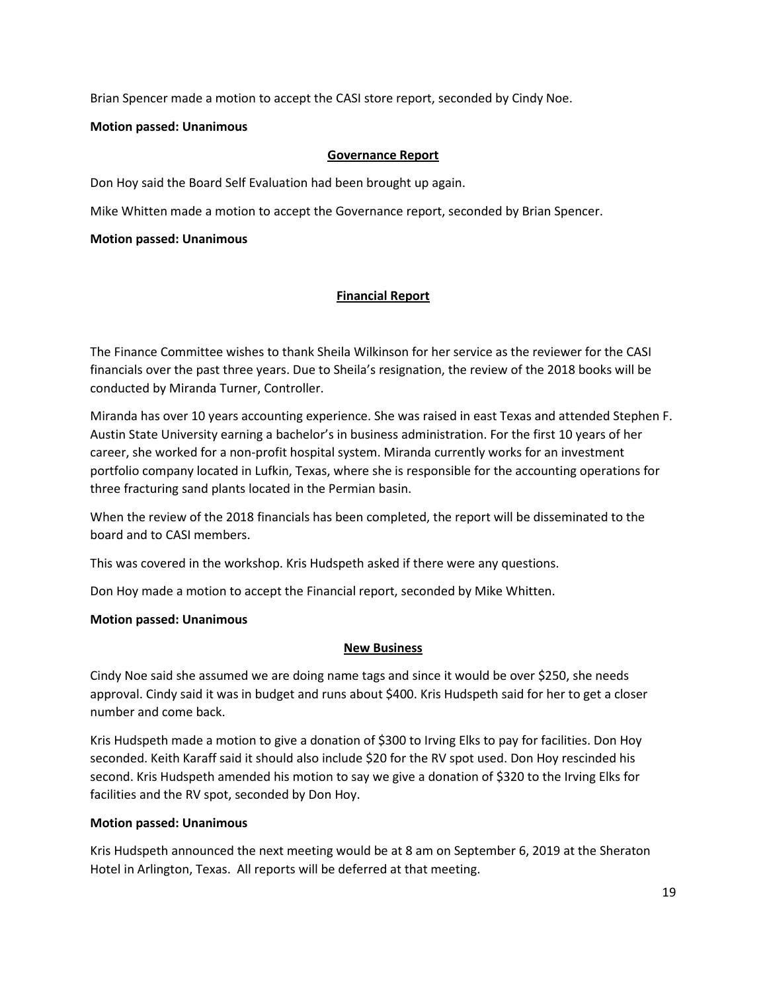Brian Spencer made a motion to accept the CASI store report, seconded by Cindy Noe.

# Motion passed: Unanimous

# Governance Report

Don Hoy said the Board Self Evaluation had been brought up again.

Mike Whitten made a motion to accept the Governance report, seconded by Brian Spencer.

# Motion passed: Unanimous

# Financial Report

The Finance Committee wishes to thank Sheila Wilkinson for her service as the reviewer for the CASI financials over the past three years. Due to Sheila's resignation, the review of the 2018 books will be conducted by Miranda Turner, Controller.

Miranda has over 10 years accounting experience. She was raised in east Texas and attended Stephen F. Austin State University earning a bachelor's in business administration. For the first 10 years of her career, she worked for a non-profit hospital system. Miranda currently works for an investment portfolio company located in Lufkin, Texas, where she is responsible for the accounting operations for three fracturing sand plants located in the Permian basin.

When the review of the 2018 financials has been completed, the report will be disseminated to the board and to CASI members.

This was covered in the workshop. Kris Hudspeth asked if there were any questions.

Don Hoy made a motion to accept the Financial report, seconded by Mike Whitten.

# Motion passed: Unanimous

# New Business

Cindy Noe said she assumed we are doing name tags and since it would be over \$250, she needs approval. Cindy said it was in budget and runs about \$400. Kris Hudspeth said for her to get a closer number and come back.

Kris Hudspeth made a motion to give a donation of \$300 to Irving Elks to pay for facilities. Don Hoy seconded. Keith Karaff said it should also include \$20 for the RV spot used. Don Hoy rescinded his second. Kris Hudspeth amended his motion to say we give a donation of \$320 to the Irving Elks for facilities and the RV spot, seconded by Don Hoy.

# Motion passed: Unanimous

Kris Hudspeth announced the next meeting would be at 8 am on September 6, 2019 at the Sheraton Hotel in Arlington, Texas. All reports will be deferred at that meeting.